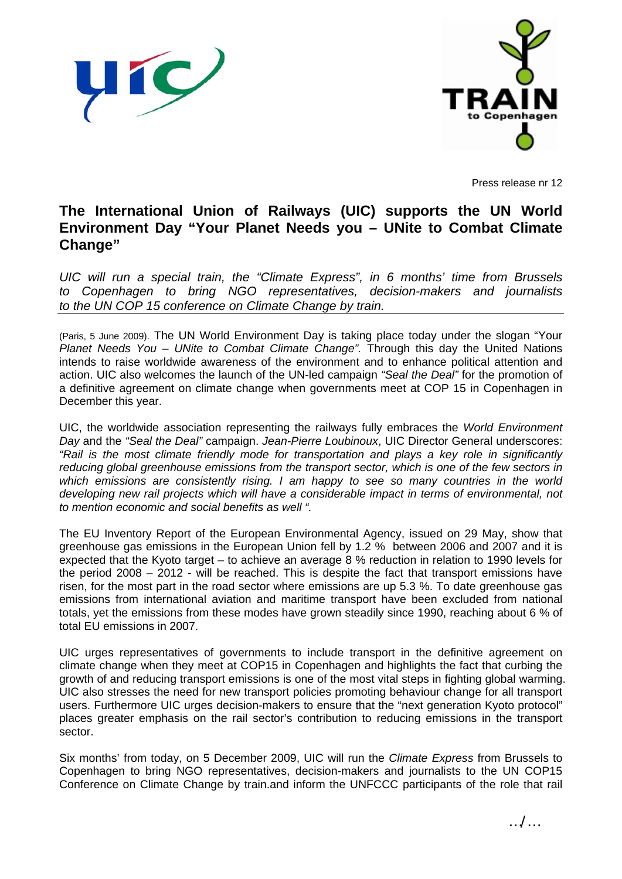



Press release nr 12

## **The International Union of Railways (UIC) supports the UN World Environment Day "Your Planet Needs you – UNite to Combat Climate Change"**

*UIC will run a special train, the "Climate Express", in 6 months' time from Brussels to Copenhagen to bring NGO representatives, decision-makers and journalists to the UN COP 15 conference on Climate Change by train.* 

(Paris, 5 June 2009). The UN World Environment Day is taking place today under the slogan "Your *Planet Needs You – UNite to Combat Climate Change".* Through this day the United Nations intends to raise worldwide awareness of the environment and to enhance political attention and action. UIC also welcomes the launch of the UN-led campaign *"Seal the Deal"* for the promotion of a definitive agreement on climate change when governments meet at COP 15 in Copenhagen in December this year.

UIC, the worldwide association representing the railways fully embraces the *World Environment Day* and the *"Seal the Deal"* campaign. *Jean-Pierre Loubinoux*, UIC Director General underscores: *"Rail is the most climate friendly mode for transportation and plays a key role in significantly reducing global greenhouse emissions from the transport sector, which is one of the few sectors in which emissions are consistently rising. I am happy to see so many countries in the world*  developing new rail projects which will have a considerable impact in terms of environmental, not *to mention economic and social benefits as well ".* 

The EU Inventory Report of the European Environmental Agency, issued on 29 May, show that greenhouse gas emissions in the European Union fell by 1.2 % between 2006 and 2007 and it is expected that the Kyoto target – to achieve an average 8 % reduction in relation to 1990 levels for the period 2008 – 2012 - will be reached. This is despite the fact that transport emissions have risen, for the most part in the road sector where emissions are up 5.3 %. To date greenhouse gas emissions from international aviation and maritime transport have been excluded from national totals, yet the emissions from these modes have grown steadily since 1990, reaching about 6 % of total EU emissions in 2007.

UIC urges representatives of governments to include transport in the definitive agreement on climate change when they meet at COP15 in Copenhagen and highlights the fact that curbing the growth of and reducing transport emissions is one of the most vital steps in fighting global warming. UIC also stresses the need for new transport policies promoting behaviour change for all transport users. Furthermore UIC urges decision-makers to ensure that the "next generation Kyoto protocol" places greater emphasis on the rail sector's contribution to reducing emissions in the transport sector.

Six months' from today, on 5 December 2009, UIC will run the *Climate Express* from Brussels to Copenhagen to bring NGO representatives, decision-makers and journalists to the UN COP15 Conference on Climate Change by train.and inform the UNFCCC participants of the role that rail